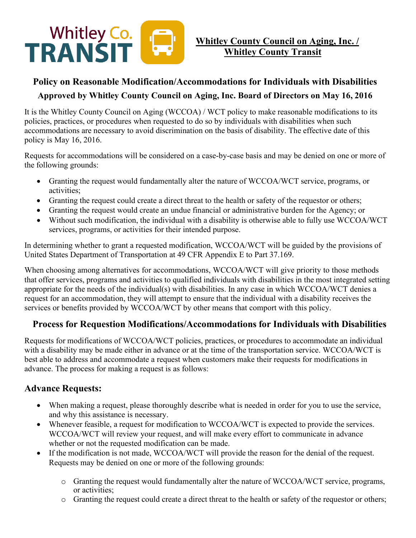

## **Policy on Reasonable Modification/Accommodations for Individuals with Disabilities Approved by Whitley County Council on Aging, Inc. Board of Directors on May 16, 2016**

It is the Whitley County Council on Aging (WCCOA) / WCT policy to make reasonable modifications to its policies, practices, or procedures when requested to do so by individuals with disabilities when such accommodations are necessary to avoid discrimination on the basis of disability. The effective date of this policy is May 16, 2016.

Requests for accommodations will be considered on a case-by-case basis and may be denied on one or more of the following grounds:

- Granting the request would fundamentally alter the nature of WCCOA/WCT service, programs, or activities;
- Granting the request could create a direct threat to the health or safety of the requestor or others;
- Granting the request would create an undue financial or administrative burden for the Agency; or
- Without such modification, the individual with a disability is otherwise able to fully use WCCOA/WCT services, programs, or activities for their intended purpose.

In determining whether to grant a requested modification, WCCOA/WCT will be guided by the provisions of United States Department of Transportation at 49 CFR Appendix E to Part 37.169.

When choosing among alternatives for accommodations, WCCOA/WCT will give priority to those methods that offer services, programs and activities to qualified individuals with disabilities in the most integrated setting appropriate for the needs of the individual(s) with disabilities. In any case in which WCCOA/WCT denies a request for an accommodation, they will attempt to ensure that the individual with a disability receives the services or benefits provided by WCCOA/WCT by other means that comport with this policy.

## **Process for Requestion Modifications/Accommodations for Individuals with Disabilities**

Requests for modifications of WCCOA/WCT policies, practices, or procedures to accommodate an individual with a disability may be made either in advance or at the time of the transportation service. WCCOA/WCT is best able to address and accommodate a request when customers make their requests for modifications in advance. The process for making a request is as follows:

## **Advance Requests:**

- When making a request, please thoroughly describe what is needed in order for you to use the service, and why this assistance is necessary.
- Whenever feasible, a request for modification to WCCOA/WCT is expected to provide the services. WCCOA/WCT will review your request, and will make every effort to communicate in advance whether or not the requested modification can be made.
- If the modification is not made, WCCOA/WCT will provide the reason for the denial of the request. Requests may be denied on one or more of the following grounds:
	- o Granting the request would fundamentally alter the nature of WCCOA/WCT service, programs, or activities;
	- o Granting the request could create a direct threat to the health or safety of the requestor or others;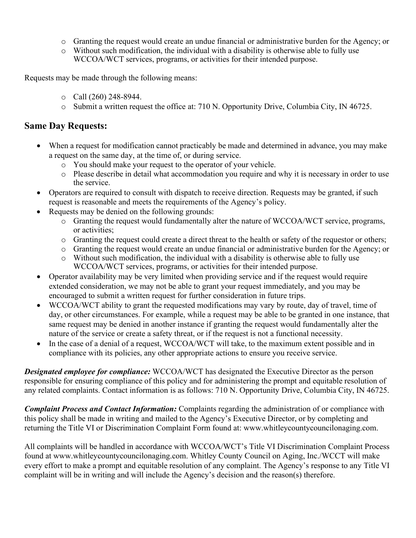- o Granting the request would create an undue financial or administrative burden for the Agency; or
- o Without such modification, the individual with a disability is otherwise able to fully use WCCOA/WCT services, programs, or activities for their intended purpose.

Requests may be made through the following means:

- o Call (260) 248-8944.
- o Submit a written request the office at: 710 N. Opportunity Drive, Columbia City, IN 46725.

#### **Same Day Requests:**

- When a request for modification cannot practicably be made and determined in advance, you may make a request on the same day, at the time of, or during service.
	- o You should make your request to the operator of your vehicle.
	- o Please describe in detail what accommodation you require and why it is necessary in order to use the service.
- Operators are required to consult with dispatch to receive direction. Requests may be granted, if such request is reasonable and meets the requirements of the Agency's policy.
- Requests may be denied on the following grounds:
	- o Granting the request would fundamentally alter the nature of WCCOA/WCT service, programs, or activities;
	- o Granting the request could create a direct threat to the health or safety of the requestor or others;
	- o Granting the request would create an undue financial or administrative burden for the Agency; or
	- o Without such modification, the individual with a disability is otherwise able to fully use WCCOA/WCT services, programs, or activities for their intended purpose.
- Operator availability may be very limited when providing service and if the request would require extended consideration, we may not be able to grant your request immediately, and you may be encouraged to submit a written request for further consideration in future trips.
- WCCOA/WCT ability to grant the requested modifications may vary by route, day of travel, time of day, or other circumstances. For example, while a request may be able to be granted in one instance, that same request may be denied in another instance if granting the request would fundamentally alter the nature of the service or create a safety threat, or if the request is not a functional necessity.
- In the case of a denial of a request, WCCOA/WCT will take, to the maximum extent possible and in compliance with its policies, any other appropriate actions to ensure you receive service.

**Designated employee for compliance:** WCCOA/WCT has designated the Executive Director as the person responsible for ensuring compliance of this policy and for administering the prompt and equitable resolution of any related complaints. Contact information is as follows: 710 N. Opportunity Drive, Columbia City, IN 46725.

*Complaint Process and Contact Information:* Complaints regarding the administration of or compliance with this policy shall be made in writing and mailed to the Agency's Executive Director, or by completing and returning the Title VI or Discrimination Complaint Form found at: [www.whitleycountycouncilonaging.com.](http://www.whitleycountycouncilonaging.com/)

All complaints will be handled in accordance with WCCOA/WCT's Title VI Discrimination Complaint Process found at [www.whitleycountycouncilonaging.com.](http://www.whitleycountycouncilonaging.com/) Whitley County Council on Aging, Inc./WCCT will make every effort to make a prompt and equitable resolution of any complaint. The Agency's response to any Title VI complaint will be in writing and will include the Agency's decision and the reason(s) therefore.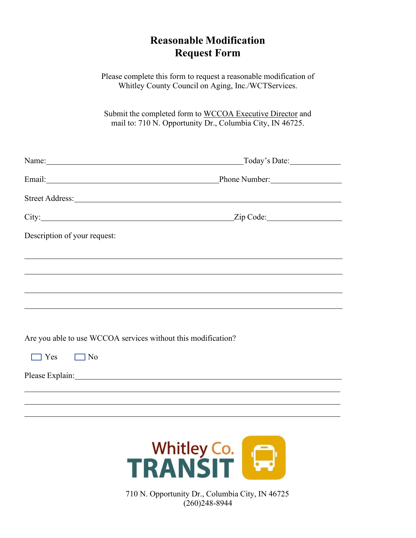# **Reasonable Modification Request Form**

Please complete this form to request a reasonable modification of Whitley County Council on Aging, Inc./WCTServices.

Submit the completed form to WCCOA Executive Director and mail to: 710 N. Opportunity Dr., Columbia City, IN 46725.

| Name: Name and the second contract of the second contract of the second contract of the second contract of the second contract of the second contract of the second contract of the second contract of the second contract of  | Today's Date:                                                                    |  |
|--------------------------------------------------------------------------------------------------------------------------------------------------------------------------------------------------------------------------------|----------------------------------------------------------------------------------|--|
|                                                                                                                                                                                                                                | Email: Phone Number: Phone Number:                                               |  |
|                                                                                                                                                                                                                                |                                                                                  |  |
|                                                                                                                                                                                                                                | City: <u>City:</u> Zip Code: <u>City:</u> Zip Code:                              |  |
| Description of your request:                                                                                                                                                                                                   |                                                                                  |  |
| ,我们也不会有什么。""我们的人,我们也不会有什么?""我们的人,我们也不会有什么?""我们的人,我们也不会有什么?""我们的人,我们也不会有什么?""我们的人                                                                                                                                               |                                                                                  |  |
|                                                                                                                                                                                                                                | ,我们也不会有什么。""我们的人,我们也不会有什么?""我们的人,我们也不会有什么?""我们的人,我们也不会有什么?""我们的人,我们也不会有什么?""我们的人 |  |
|                                                                                                                                                                                                                                |                                                                                  |  |
|                                                                                                                                                                                                                                |                                                                                  |  |
| Are you able to use WCCOA services without this modification?                                                                                                                                                                  |                                                                                  |  |
| $\Box$ Yes<br>$\Box$ No                                                                                                                                                                                                        |                                                                                  |  |
| Please Explain: No. 1996. The Second Second Second Second Second Second Second Second Second Second Second Second Second Second Second Second Second Second Second Second Second Second Second Second Second Second Second Sec |                                                                                  |  |
|                                                                                                                                                                                                                                |                                                                                  |  |
|                                                                                                                                                                                                                                |                                                                                  |  |

 $\overline{a}$ 



710 N. Opportunity Dr., Columbia City, IN 46725 (260)248-8944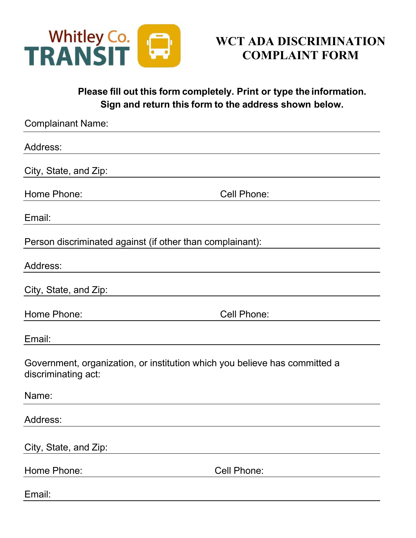

# **WCT ADA DISCRIMINATION COMPLAINT FORM**

**Please fill out this form completely. Print or type the information. Sign and return this form to the address shown below.**

| <b>Complainant Name:</b>                                                                          |             |  |
|---------------------------------------------------------------------------------------------------|-------------|--|
| Address:                                                                                          |             |  |
| City, State, and Zip:                                                                             |             |  |
| Home Phone:                                                                                       | Cell Phone: |  |
| Email:                                                                                            |             |  |
| Person discriminated against (if other than complainant):                                         |             |  |
| Address:                                                                                          |             |  |
| City, State, and Zip:                                                                             |             |  |
| Home Phone:                                                                                       | Cell Phone: |  |
| Email:                                                                                            |             |  |
| Government, organization, or institution which you believe has committed a<br>discriminating act: |             |  |
| Name:                                                                                             |             |  |
| Address:                                                                                          |             |  |
| City, State, and Zip:                                                                             |             |  |
| Home Phone:                                                                                       | Cell Phone: |  |
| Email:                                                                                            |             |  |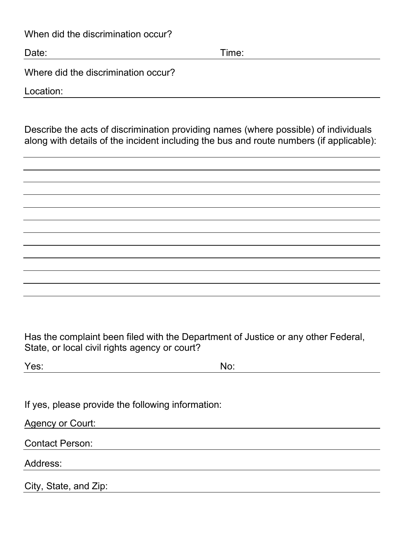When did the discrimination occur?

Date: Time: Time: The Solution of the Solution of the Solution of Time: Time: Time: Time: Time: Time: Time: Time: Time: Time: Time: Time: Time: Time: Time: Time: Time: Time: Time: Time: Time: Time: Time: Time: Time: Time:

Where did the discrimination occur?

Location:

Describe the acts of discrimination providing names (where possible) of individuals along with details of the incident including the bus and route numbers (if applicable):

Has the complaint been filed with the Department of Justice or any other Federal, State, or local civil rights agency or court?

| Yes: | No: |
|------|-----|
|      |     |

If yes, please provide the following information:

Agency or Court:

Contact Person:

Address:

City, State, and Zip: